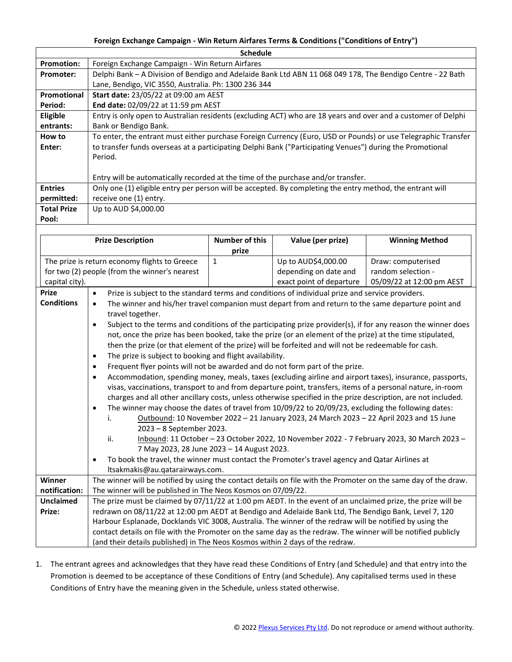## **Foreign Exchange Campaign - Win Return Airfares Terms & Conditions ("Conditions of Entry")**

| <b>Schedule</b>    |                                                                                                               |  |  |  |  |  |
|--------------------|---------------------------------------------------------------------------------------------------------------|--|--|--|--|--|
| <b>Promotion:</b>  | Foreign Exchange Campaign - Win Return Airfares                                                               |  |  |  |  |  |
| Promoter:          | Delphi Bank - A Division of Bendigo and Adelaide Bank Ltd ABN 11 068 049 178, The Bendigo Centre - 22 Bath    |  |  |  |  |  |
|                    | Lane, Bendigo, VIC 3550, Australia. Ph: 1300 236 344                                                          |  |  |  |  |  |
| Promotional        | <b>Start date: 23/05/22 at 09:00 am AEST</b>                                                                  |  |  |  |  |  |
| Period:            | End date: 02/09/22 at 11:59 pm AEST                                                                           |  |  |  |  |  |
| <b>Eligible</b>    | Entry is only open to Australian residents (excluding ACT) who are 18 years and over and a customer of Delphi |  |  |  |  |  |
| entrants:          | Bank or Bendigo Bank.                                                                                         |  |  |  |  |  |
| How to             | To enter, the entrant must either purchase Foreign Currency (Euro, USD or Pounds) or use Telegraphic Transfer |  |  |  |  |  |
| Enter:             | to transfer funds overseas at a participating Delphi Bank ("Participating Venues") during the Promotional     |  |  |  |  |  |
|                    | Period.                                                                                                       |  |  |  |  |  |
|                    |                                                                                                               |  |  |  |  |  |
|                    | Entry will be automatically recorded at the time of the purchase and/or transfer.                             |  |  |  |  |  |
| <b>Entries</b>     | Only one (1) eligible entry per person will be accepted. By completing the entry method, the entrant will     |  |  |  |  |  |
| permitted:         | receive one (1) entry.                                                                                        |  |  |  |  |  |
| <b>Total Prize</b> | Up to AUD \$4,000.00                                                                                          |  |  |  |  |  |
| Pool:              |                                                                                                               |  |  |  |  |  |
|                    |                                                                                                               |  |  |  |  |  |

| <b>Prize Description</b>                      |                                                                                                                                      |                                                                                                               |  | <b>Number of this</b>                                                                      | Value (per prize)        | <b>Winning Method</b>     |  |  |
|-----------------------------------------------|--------------------------------------------------------------------------------------------------------------------------------------|---------------------------------------------------------------------------------------------------------------|--|--------------------------------------------------------------------------------------------|--------------------------|---------------------------|--|--|
|                                               |                                                                                                                                      |                                                                                                               |  | prize                                                                                      |                          |                           |  |  |
| The prize is return economy flights to Greece |                                                                                                                                      |                                                                                                               |  | $\mathbf{1}$                                                                               | Up to AUD\$4,000.00      | Draw: computerised        |  |  |
| for two (2) people (from the winner's nearest |                                                                                                                                      |                                                                                                               |  |                                                                                            | depending on date and    | random selection -        |  |  |
| capital city).                                |                                                                                                                                      |                                                                                                               |  |                                                                                            | exact point of departure | 05/09/22 at 12:00 pm AEST |  |  |
| <b>Prize</b>                                  | Prize is subject to the standard terms and conditions of individual prize and service providers.<br>$\bullet$                        |                                                                                                               |  |                                                                                            |                          |                           |  |  |
| <b>Conditions</b>                             | The winner and his/her travel companion must depart from and return to the same departure point and<br>$\bullet$<br>travel together. |                                                                                                               |  |                                                                                            |                          |                           |  |  |
|                                               | $\bullet$                                                                                                                            | Subject to the terms and conditions of the participating prize provider(s), if for any reason the winner does |  |                                                                                            |                          |                           |  |  |
|                                               | not, once the prize has been booked, take the prize (or an element of the prize) at the time stipulated,                             |                                                                                                               |  |                                                                                            |                          |                           |  |  |
|                                               | then the prize (or that element of the prize) will be forfeited and will not be redeemable for cash.                                 |                                                                                                               |  |                                                                                            |                          |                           |  |  |
|                                               | The prize is subject to booking and flight availability.<br>$\bullet$                                                                |                                                                                                               |  |                                                                                            |                          |                           |  |  |
|                                               | Frequent flyer points will not be awarded and do not form part of the prize.<br>$\bullet$                                            |                                                                                                               |  |                                                                                            |                          |                           |  |  |
|                                               | Accommodation, spending money, meals, taxes (excluding airline and airport taxes), insurance, passports,<br>$\bullet$                |                                                                                                               |  |                                                                                            |                          |                           |  |  |
|                                               |                                                                                                                                      | visas, vaccinations, transport to and from departure point, transfers, items of a personal nature, in-room    |  |                                                                                            |                          |                           |  |  |
|                                               |                                                                                                                                      | charges and all other ancillary costs, unless otherwise specified in the prize description, are not included. |  |                                                                                            |                          |                           |  |  |
|                                               | $\bullet$                                                                                                                            | The winner may choose the dates of travel from 10/09/22 to 20/09/23, excluding the following dates:           |  |                                                                                            |                          |                           |  |  |
|                                               |                                                                                                                                      | Outbound: 10 November 2022 - 21 January 2023, 24 March 2023 - 22 April 2023 and 15 June<br>i.                 |  |                                                                                            |                          |                           |  |  |
|                                               |                                                                                                                                      | 2023 - 8 September 2023.                                                                                      |  |                                                                                            |                          |                           |  |  |
|                                               |                                                                                                                                      | ii.                                                                                                           |  | Inbound: 11 October - 23 October 2022, 10 November 2022 - 7 February 2023, 30 March 2023 - |                          |                           |  |  |
|                                               |                                                                                                                                      | 7 May 2023, 28 June 2023 - 14 August 2023.                                                                    |  |                                                                                            |                          |                           |  |  |
|                                               | To book the travel, the winner must contact the Promoter's travel agency and Qatar Airlines at<br>$\bullet$                          |                                                                                                               |  |                                                                                            |                          |                           |  |  |
|                                               | ltsakmakis@au.qatarairways.com.                                                                                                      |                                                                                                               |  |                                                                                            |                          |                           |  |  |
| Winner                                        | The winner will be notified by using the contact details on file with the Promoter on the same day of the draw.                      |                                                                                                               |  |                                                                                            |                          |                           |  |  |
| notification:                                 | The winner will be published in The Neos Kosmos on 07/09/22.                                                                         |                                                                                                               |  |                                                                                            |                          |                           |  |  |
| Unclaimed                                     | The prize must be claimed by 07/11/22 at 1:00 pm AEDT. In the event of an unclaimed prize, the prize will be                         |                                                                                                               |  |                                                                                            |                          |                           |  |  |
| Prize:                                        | redrawn on 08/11/22 at 12:00 pm AEDT at Bendigo and Adelaide Bank Ltd, The Bendigo Bank, Level 7, 120                                |                                                                                                               |  |                                                                                            |                          |                           |  |  |
|                                               | Harbour Esplanade, Docklands VIC 3008, Australia. The winner of the redraw will be notified by using the                             |                                                                                                               |  |                                                                                            |                          |                           |  |  |
|                                               | contact details on file with the Promoter on the same day as the redraw. The winner will be notified publicly                        |                                                                                                               |  |                                                                                            |                          |                           |  |  |
|                                               | (and their details published) in The Neos Kosmos within 2 days of the redraw.                                                        |                                                                                                               |  |                                                                                            |                          |                           |  |  |

1. The entrant agrees and acknowledges that they have read these Conditions of Entry (and Schedule) and that entry into the Promotion is deemed to be acceptance of these Conditions of Entry (and Schedule). Any capitalised terms used in these Conditions of Entry have the meaning given in the Schedule, unless stated otherwise.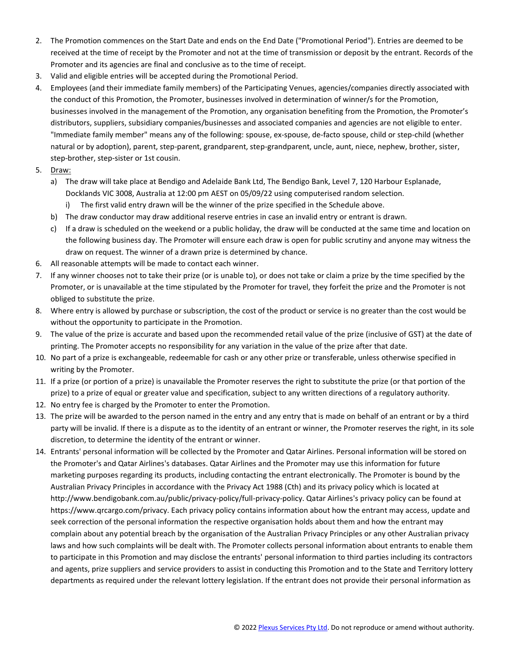- 2. The Promotion commences on the Start Date and ends on the End Date ("Promotional Period"). Entries are deemed to be received at the time of receipt by the Promoter and not at the time of transmission or deposit by the entrant. Records of the Promoter and its agencies are final and conclusive as to the time of receipt.
- 3. Valid and eligible entries will be accepted during the Promotional Period.
- 4. Employees (and their immediate family members) of the Participating Venues, agencies/companies directly associated with the conduct of this Promotion, the Promoter, businesses involved in determination of winner/s for the Promotion, businesses involved in the management of the Promotion, any organisation benefiting from the Promotion, the Promoter's distributors, suppliers, subsidiary companies/businesses and associated companies and agencies are not eligible to enter. "Immediate family member" means any of the following: spouse, ex-spouse, de-facto spouse, child or step-child (whether natural or by adoption), parent, step-parent, grandparent, step-grandparent, uncle, aunt, niece, nephew, brother, sister, step-brother, step-sister or 1st cousin.
- 5. Draw:
	- a) The draw will take place at Bendigo and Adelaide Bank Ltd, The Bendigo Bank, Level 7, 120 Harbour Esplanade, Docklands VIC 3008, Australia at 12:00 pm AEST on 05/09/22 using computerised random selection. i) The first valid entry drawn will be the winner of the prize specified in the Schedule above.
	- b) The draw conductor may draw additional reserve entries in case an invalid entry or entrant is drawn.
	- c) If a draw is scheduled on the weekend or a public holiday, the draw will be conducted at the same time and location on the following business day. The Promoter will ensure each draw is open for public scrutiny and anyone may witness the draw on request. The winner of a drawn prize is determined by chance.
- 6. All reasonable attempts will be made to contact each winner.
- 7. If any winner chooses not to take their prize (or is unable to), or does not take or claim a prize by the time specified by the Promoter, or is unavailable at the time stipulated by the Promoter for travel, they forfeit the prize and the Promoter is not obliged to substitute the prize.
- 8. Where entry is allowed by purchase or subscription, the cost of the product or service is no greater than the cost would be without the opportunity to participate in the Promotion.
- 9. The value of the prize is accurate and based upon the recommended retail value of the prize (inclusive of GST) at the date of printing. The Promoter accepts no responsibility for any variation in the value of the prize after that date.
- 10. No part of a prize is exchangeable, redeemable for cash or any other prize or transferable, unless otherwise specified in writing by the Promoter.
- 11. If a prize (or portion of a prize) is unavailable the Promoter reserves the right to substitute the prize (or that portion of the prize) to a prize of equal or greater value and specification, subject to any written directions of a regulatory authority.
- 12. No entry fee is charged by the Promoter to enter the Promotion.
- 13. The prize will be awarded to the person named in the entry and any entry that is made on behalf of an entrant or by a third party will be invalid. If there is a dispute as to the identity of an entrant or winner, the Promoter reserves the right, in its sole discretion, to determine the identity of the entrant or winner.
- 14. Entrants' personal information will be collected by the Promoter and Qatar Airlines. Personal information will be stored on the Promoter's and Qatar Airlines's databases. Qatar Airlines and the Promoter may use this information for future marketing purposes regarding its products, including contacting the entrant electronically. The Promoter is bound by the Australian Privacy Principles in accordance with the Privacy Act 1988 (Cth) and its privacy policy which is located at http://www.bendigobank.com.au/public/privacy-policy/full-privacy-policy. Qatar Airlines's privacy policy can be found at https://www.qrcargo.com/privacy. Each privacy policy contains information about how the entrant may access, update and seek correction of the personal information the respective organisation holds about them and how the entrant may complain about any potential breach by the organisation of the Australian Privacy Principles or any other Australian privacy laws and how such complaints will be dealt with. The Promoter collects personal information about entrants to enable them to participate in this Promotion and may disclose the entrants' personal information to third parties including its contractors and agents, prize suppliers and service providers to assist in conducting this Promotion and to the State and Territory lottery departments as required under the relevant lottery legislation. If the entrant does not provide their personal information as